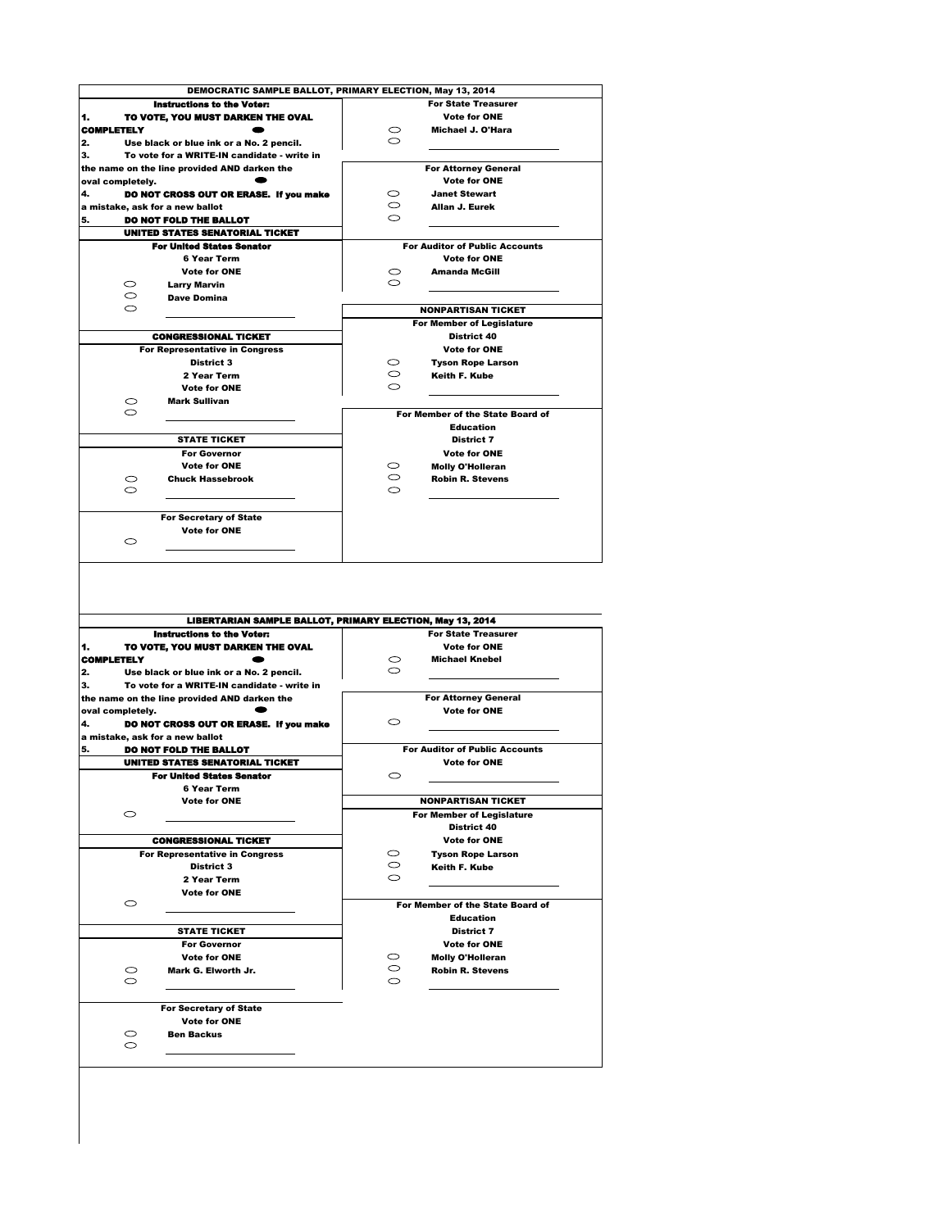

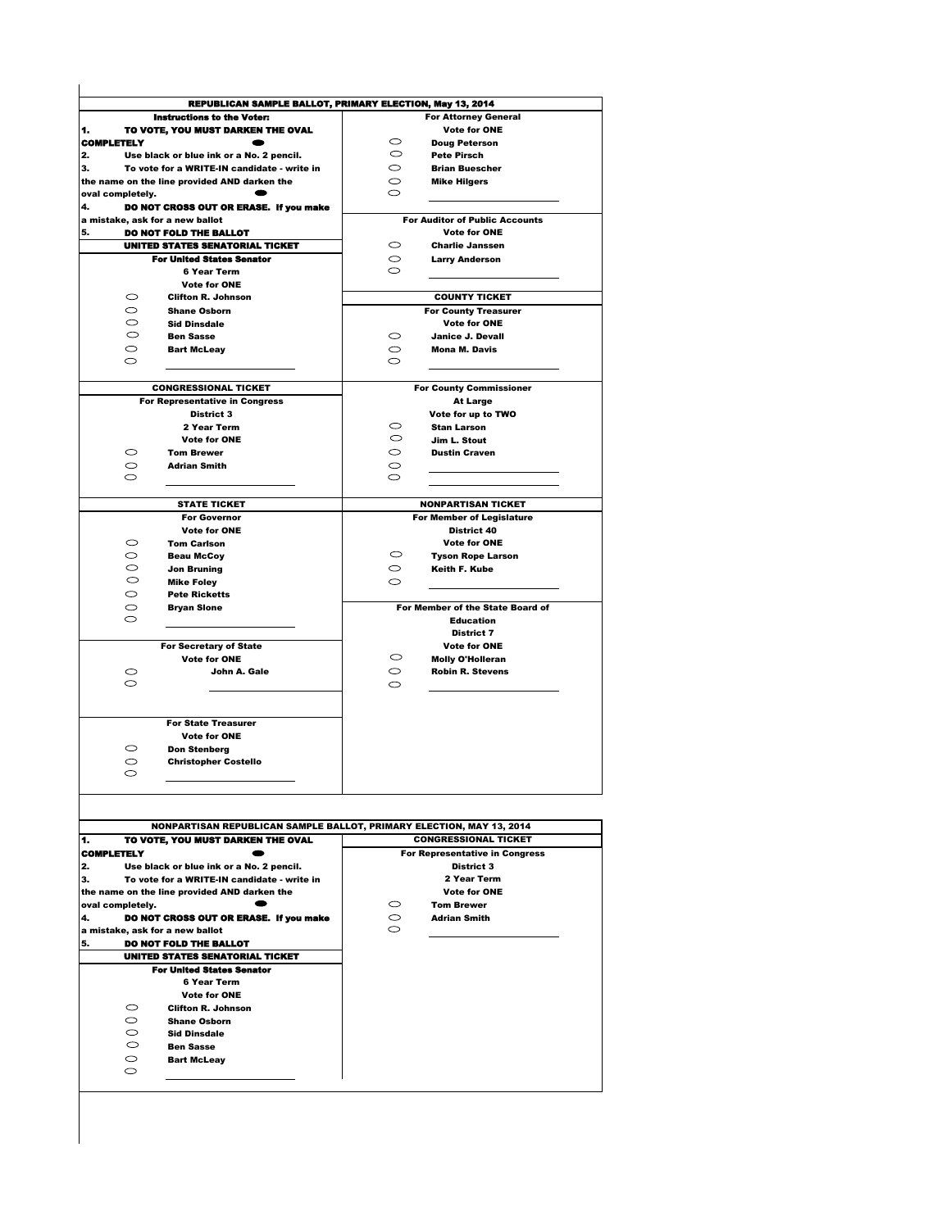| <b>REPUBLICAN SAMPLE BALLOT, PRIMARY ELECTION, May 13, 2014</b>      |                                    |                                       |  |
|----------------------------------------------------------------------|------------------------------------|---------------------------------------|--|
| <b>Instructions to the Voter:</b>                                    | <b>For Attorney General</b>        |                                       |  |
| TO VOTE, YOU MUST DARKEN THE OVAL                                    |                                    | <b>Vote for ONE</b>                   |  |
| <b>COMPLETELY</b>                                                    | $\circ$<br><b>Doug Peterson</b>    |                                       |  |
| Use black or blue ink or a No. 2 pencil.                             | $\circ$<br><b>Pete Pirsch</b>      |                                       |  |
| To vote for a WRITE-IN candidate - write in                          | $\circ$<br><b>Brian Buescher</b>   |                                       |  |
| the name on the line provided AND darken the                         | $\circ$<br><b>Mike Hilgers</b>     |                                       |  |
| oval completely.                                                     | $\circ$                            |                                       |  |
| DO NOT CROSS OUT OR ERASE. If you make                               |                                    |                                       |  |
| a mistake, ask for a new ballot                                      |                                    | <b>For Auditor of Public Accounts</b> |  |
| DO NOT FOLD THE BALLOT                                               |                                    | <b>Vote for ONE</b>                   |  |
| <b>UNITED STATES SENATORIAL TICKET</b>                               | $\circ$<br><b>Charlie Janssen</b>  |                                       |  |
| <b>For United States Senator</b>                                     | $\circ$<br><b>Larry Anderson</b>   |                                       |  |
| <b>6 Year Term</b>                                                   | $\circ$                            |                                       |  |
| <b>Vote for ONE</b>                                                  |                                    |                                       |  |
| $\circ$<br><b>Clifton R. Johnson</b>                                 |                                    | <b>COUNTY TICKET</b>                  |  |
| $\circ$<br><b>Shane Osborn</b>                                       |                                    | <b>For County Treasurer</b>           |  |
| $\circ$<br><b>Sid Dinsdale</b>                                       |                                    | <b>Vote for ONE</b>                   |  |
| $\circ$<br><b>Ben Sasse</b>                                          | $\circ$<br><b>Janice J. Devall</b> |                                       |  |
| $\circ$<br><b>Bart McLeay</b>                                        | $\circ$<br><b>Mona M. Davis</b>    |                                       |  |
| $\circ$                                                              | $\circ$                            |                                       |  |
|                                                                      |                                    |                                       |  |
| <b>CONGRESSIONAL TICKET</b>                                          |                                    | <b>For County Commissioner</b>        |  |
| <b>For Representative in Congress</b>                                |                                    | <b>At Large</b>                       |  |
| <b>District 3</b>                                                    |                                    | Vote for up to TWO                    |  |
| 2 Year Term                                                          | O<br><b>Stan Larson</b>            |                                       |  |
| <b>Vote for ONE</b>                                                  | $\circ$<br>Jim L. Stout            |                                       |  |
| $\circ$<br><b>Tom Brewer</b>                                         | $\circ$<br><b>Dustin Craven</b>    |                                       |  |
| $\circ$<br><b>Adrian Smith</b>                                       | $\circ$                            |                                       |  |
| $\circ$                                                              | $\circ$                            |                                       |  |
|                                                                      |                                    |                                       |  |
| <b>STATE TICKET</b>                                                  |                                    | <b>NONPARTISAN TICKET</b>             |  |
| <b>For Governor</b>                                                  |                                    | For Member of Legislature             |  |
| <b>Vote for ONE</b>                                                  |                                    | District 40                           |  |
| $\circ$<br><b>Tom Carlson</b>                                        |                                    | <b>Vote for ONE</b>                   |  |
| $\circ$<br><b>Beau McCoy</b>                                         | $\circ$                            | <b>Tyson Rope Larson</b>              |  |
| $\circ$<br><b>Jon Bruning</b>                                        | $\circ$<br>Keith F. Kube           |                                       |  |
| $\circ$<br><b>Mike Foley</b>                                         | $\circ$                            |                                       |  |
| $\circ$<br><b>Pete Ricketts</b>                                      |                                    |                                       |  |
| $\circ$<br><b>Bryan Slone</b>                                        |                                    | For Member of the State Board of      |  |
| $\circ$                                                              |                                    | <b>Education</b>                      |  |
|                                                                      |                                    | <b>District 7</b>                     |  |
| <b>For Secretary of State</b>                                        |                                    | <b>Vote for ONE</b>                   |  |
| <b>Vote for ONE</b>                                                  | $\circ$                            | <b>Molly O'Holleran</b>               |  |
| $\circ$<br>John A. Gale<br>$\circ$                                   | $\circ$                            | <b>Robin R. Stevens</b>               |  |
|                                                                      | $\circ$                            |                                       |  |
|                                                                      |                                    |                                       |  |
| <b>For State Treasurer</b>                                           |                                    |                                       |  |
| <b>Vote for ONE</b>                                                  |                                    |                                       |  |
| $\circ$<br><b>Don Stenberg</b>                                       |                                    |                                       |  |
| $\circ$<br><b>Christopher Costello</b>                               |                                    |                                       |  |
| $\circ$                                                              |                                    |                                       |  |
|                                                                      |                                    |                                       |  |
|                                                                      |                                    |                                       |  |
|                                                                      |                                    |                                       |  |
| NONPARTISAN REPUBLICAN SAMPLE BALLOT, PRIMARY ELECTION, MAY 13, 2014 |                                    |                                       |  |
| TO VOTE, YOU MUST DARKEN THE OVAL                                    |                                    | <b>CONGRESSIONAL TICKET</b>           |  |
| <b>COMPLETELY</b>                                                    |                                    | <b>For Representative in Congress</b> |  |
| Use black or blue ink or a No. 2 pencil.                             |                                    | <b>District 3</b>                     |  |
| To vote for a WRITE-IN candidate - write in                          |                                    | 2 Year Term                           |  |
| the name on the line provided AND darken the                         |                                    | <b>Vote for ONE</b>                   |  |
| oval completely.                                                     | $\circ$<br><b>Tom Brewer</b>       |                                       |  |
| DO NOT CROSS OUT OR ERASE. If you make                               | $\circ$<br><b>Adrian Smith</b>     |                                       |  |
| a mistake, ask for a new ballot                                      | $\circ$                            |                                       |  |
| DO NOT FOLD THE BALLOT                                               |                                    |                                       |  |
| UNITED STATES SENATORIAL TICKET                                      |                                    |                                       |  |
| <b>For United States Senator</b>                                     |                                    |                                       |  |
| 6 Year Term                                                          |                                    |                                       |  |
| <b>Vote for ONE</b>                                                  |                                    |                                       |  |
| $\circ$<br><b>Clifton R. Johnson</b>                                 |                                    |                                       |  |
| $\circ$<br><b>Shane Osborn</b>                                       |                                    |                                       |  |
| $\circ$<br><b>Sid Dinsdale</b>                                       |                                    |                                       |  |
| $\circ$<br><b>Ben Sasse</b>                                          |                                    |                                       |  |
| $\circ$<br><b>Bart McLeay</b>                                        |                                    |                                       |  |
| $\circ$                                                              |                                    |                                       |  |
|                                                                      |                                    |                                       |  |